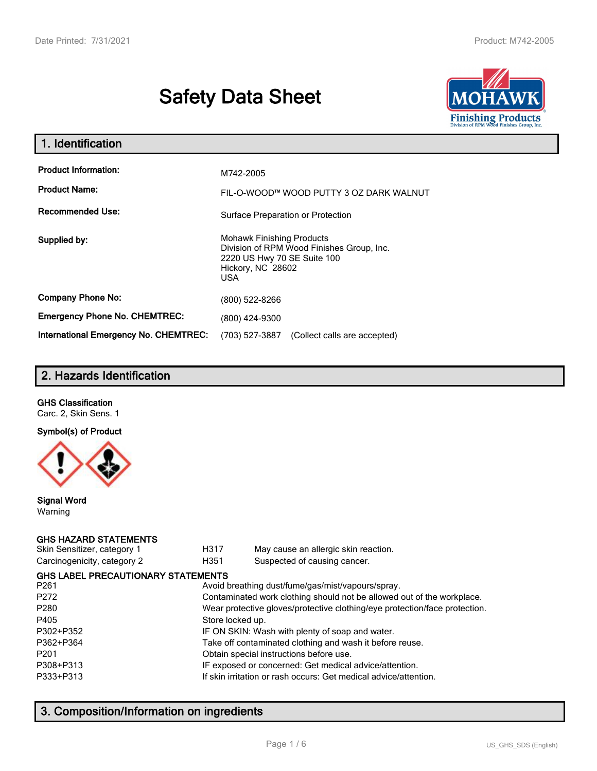# **Safety Data Sheet**



| 1. Identification                            |                                                                                                                                          |
|----------------------------------------------|------------------------------------------------------------------------------------------------------------------------------------------|
| <b>Product Information:</b>                  | M742-2005                                                                                                                                |
| <b>Product Name:</b>                         | FIL-O-WOOD™ WOOD PUTTY 3 OZ DARK WALNUT                                                                                                  |
| <b>Recommended Use:</b>                      | Surface Preparation or Protection                                                                                                        |
| Supplied by:                                 | <b>Mohawk Finishing Products</b><br>Division of RPM Wood Finishes Group, Inc.<br>2220 US Hwy 70 SE Suite 100<br>Hickory, NC 28602<br>USA |
| <b>Company Phone No:</b>                     | (800) 522-8266                                                                                                                           |
| <b>Emergency Phone No. CHEMTREC:</b>         | (800) 424-9300                                                                                                                           |
| <b>International Emergency No. CHEMTREC:</b> | (703) 527-3887<br>(Collect calls are accepted)                                                                                           |

# **2. Hazards Identification**

## **GHS Classification**

Carc. 2, Skin Sens. 1

## **Symbol(s) of Product**



## **Signal Word** Warning

## **GHS HAZARD STATEMENTS**

| Skin Sensitizer, category 1 |  |
|-----------------------------|--|
| Carcinogenicity, category 2 |  |

H317 May cause an allergic skin reaction. genicity, category 2 **H351** Suspected of causing cancer.

| <b>GHS LABEL PRECAUTIONARY STATEMENTS</b>                                  |  |  |  |  |  |
|----------------------------------------------------------------------------|--|--|--|--|--|
| Avoid breathing dust/fume/gas/mist/vapours/spray.                          |  |  |  |  |  |
| Contaminated work clothing should not be allowed out of the workplace.     |  |  |  |  |  |
| Wear protective gloves/protective clothing/eye protection/face protection. |  |  |  |  |  |
| Store locked up.                                                           |  |  |  |  |  |
| IF ON SKIN: Wash with plenty of soap and water.                            |  |  |  |  |  |
| Take off contaminated clothing and wash it before reuse.                   |  |  |  |  |  |
| Obtain special instructions before use.                                    |  |  |  |  |  |
| IF exposed or concerned: Get medical advice/attention.                     |  |  |  |  |  |
| If skin irritation or rash occurs: Get medical advice/attention.           |  |  |  |  |  |
|                                                                            |  |  |  |  |  |

# **3. Composition/Information on ingredients**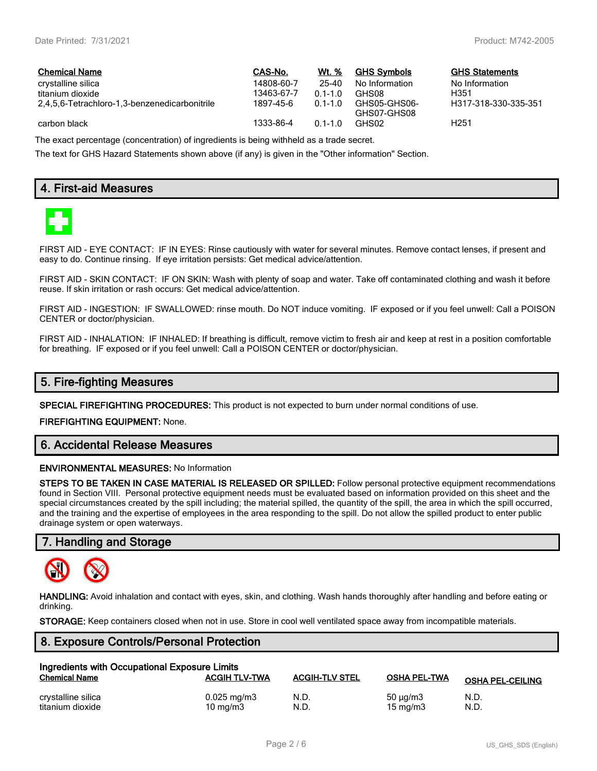$GHS$  Statements No Information<br>H351

H317-318-330-335-351

| <b>Chemical Name</b>                          | CAS-No.    | Wt. %       | <b>GHS Symbols</b>          | GHS   |
|-----------------------------------------------|------------|-------------|-----------------------------|-------|
| crystalline silica                            | 14808-60-7 | 25-40       | No Information              | No In |
| titanium dioxide                              | 13463-67-7 | $01 - 10$   | GHS08                       | H351  |
| 2.4.5.6-Tetrachloro-1.3-benzenedicarbonitrile | 1897-45-6  | $0.1 - 1.0$ | GHS05-GHS06-<br>GHS07-GHS08 | H317  |
| carbon black                                  | 1333-86-4  | $0.1 - 1.0$ | GHS02                       | H251  |

The exact percentage (concentration) of ingredients is being withheld as a trade secret.

The text for GHS Hazard Statements shown above (if any) is given in the "Other information" Section.

# **4. First-aid Measures**



FIRST AID - EYE CONTACT: IF IN EYES: Rinse cautiously with water for several minutes. Remove contact lenses, if present and easy to do. Continue rinsing. If eye irritation persists: Get medical advice/attention.

FIRST AID - SKIN CONTACT: IF ON SKIN: Wash with plenty of soap and water. Take off contaminated clothing and wash it before reuse. If skin irritation or rash occurs: Get medical advice/attention.

FIRST AID - INGESTION: IF SWALLOWED: rinse mouth. Do NOT induce vomiting. IF exposed or if you feel unwell: Call a POISON CENTER or doctor/physician.

FIRST AID - INHALATION: IF INHALED: If breathing is difficult, remove victim to fresh air and keep at rest in a position comfortable for breathing. IF exposed or if you feel unwell: Call a POISON CENTER or doctor/physician.

# **5. Fire-fighting Measures**

**SPECIAL FIREFIGHTING PROCEDURES:** This product is not expected to burn under normal conditions of use.

**FIREFIGHTING EQUIPMENT:** None.

# **6. Accidental Release Measures**

#### **ENVIRONMENTAL MEASURES:** No Information

**STEPS TO BE TAKEN IN CASE MATERIAL IS RELEASED OR SPILLED:** Follow personal protective equipment recommendations found in Section VIII. Personal protective equipment needs must be evaluated based on information provided on this sheet and the special circumstances created by the spill including; the material spilled, the quantity of the spill, the area in which the spill occurred, and the training and the expertise of employees in the area responding to the spill. Do not allow the spilled product to enter public drainage system or open waterways.

# **7. Handling and Storage**



**HANDLING:** Avoid inhalation and contact with eyes, skin, and clothing. Wash hands thoroughly after handling and before eating or drinking.

**STORAGE:** Keep containers closed when not in use. Store in cool well ventilated space away from incompatible materials.

# **8. Exposure Controls/Personal Protection**

| Ingredients with Occupational Exposure Limits<br><b>ACGIH TLV-TWA</b><br><b>Chemical Name</b><br><b>ACGIH-TLV STEL</b><br><b>OSHA PEL-TWA</b> |                         |      |                   |                         |  |  |
|-----------------------------------------------------------------------------------------------------------------------------------------------|-------------------------|------|-------------------|-------------------------|--|--|
|                                                                                                                                               |                         |      |                   | <b>OSHA PEL-CEILING</b> |  |  |
| crystalline silica                                                                                                                            | $0.025 \,\mathrm{mg/m}$ | N.D. | $50 \mu q/m3$     | N.D.                    |  |  |
| titanium dioxide                                                                                                                              | $10 \text{ mg/m}$       | N.D. | $15 \text{ mg/m}$ | N.D.                    |  |  |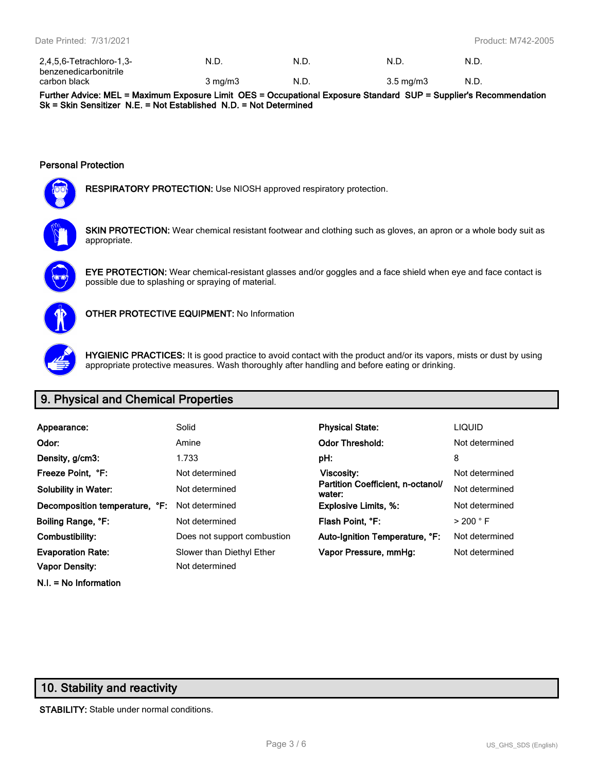| 2,4,5,6-Tetrachloro-1,3- | N.D.             | N.D  | N.D                | N.D. |
|--------------------------|------------------|------|--------------------|------|
| benzenedicarbonitrile    |                  |      |                    |      |
| carbon black             | $3 \text{ mg/m}$ | N.D. | $3.5 \text{ mg/m}$ | N.D. |

**Further Advice: MEL = Maximum Exposure Limit OES = Occupational Exposure Standard SUP = Supplier's Recommendation Sk = Skin Sensitizer N.E. = Not Established N.D. = Not Determined**

#### **Personal Protection**



**RESPIRATORY PROTECTION:** Use NIOSH approved respiratory protection.



**SKIN PROTECTION:** Wear chemical resistant footwear and clothing such as gloves, an apron or a whole body suit as appropriate.



**EYE PROTECTION:** Wear chemical-resistant glasses and/or goggles and a face shield when eye and face contact is possible due to splashing or spraying of material.



**OTHER PROTECTIVE EQUIPMENT:** No Information



**HYGIENIC PRACTICES:** It is good practice to avoid contact with the product and/or its vapors, mists or dust by using appropriate protective measures. Wash thoroughly after handling and before eating or drinking.

# **9. Physical and Chemical Properties**

| Appearance:                                          | Solid                       | <b>Physical State:</b>                      | <b>LIQUID</b>        |
|------------------------------------------------------|-----------------------------|---------------------------------------------|----------------------|
| Odor:                                                | Amine                       | <b>Odor Threshold:</b>                      | Not determined       |
| Density, g/cm3:                                      | 1.733                       | pH:                                         | 8                    |
| Freeze Point, °F:                                    | Not determined              | <b>Viscosity:</b>                           | Not determined       |
| <b>Solubility in Water:</b>                          | Not determined              | Partition Coefficient, n-octanol/<br>water: | Not determined       |
| <b>Decomposition temperature, °F:</b> Not determined |                             | <b>Explosive Limits, %:</b>                 | Not determined       |
| Boiling Range, °F:                                   | Not determined              | Flash Point, °F:                            | $>$ 200 $^{\circ}$ F |
| Combustibility:                                      | Does not support combustion | Auto-Ignition Temperature, °F:              | Not determined       |
| <b>Evaporation Rate:</b>                             | Slower than Diethyl Ether   | Vapor Pressure, mmHg:                       | Not determined       |
| <b>Vapor Density:</b>                                | Not determined              |                                             |                      |

# **N.I. = No Information**

# **10. Stability and reactivity**

**STABILITY:** Stable under normal conditions.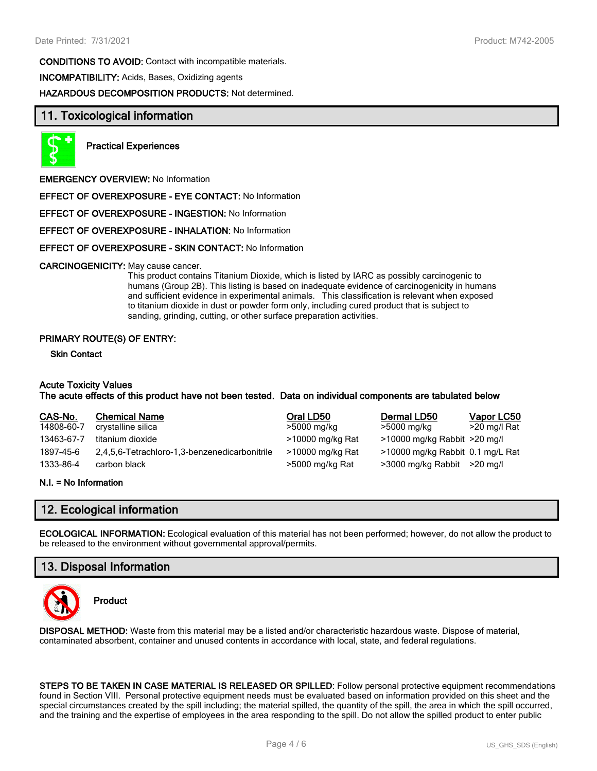**CONDITIONS TO AVOID:** Contact with incompatible materials. **INCOMPATIBILITY:** Acids, Bases, Oxidizing agents **HAZARDOUS DECOMPOSITION PRODUCTS:** Not determined.

# **11. Toxicological information**



**Practical Experiences**

**EMERGENCY OVERVIEW:** No Information

**EFFECT OF OVEREXPOSURE - EYE CONTACT:** No Information

**EFFECT OF OVEREXPOSURE - INGESTION:** No Information

**EFFECT OF OVEREXPOSURE - INHALATION:** No Information

#### **EFFECT OF OVEREXPOSURE - SKIN CONTACT:** No Information

#### **CARCINOGENICITY:** May cause cancer.

This product contains Titanium Dioxide, which is listed by IARC as possibly carcinogenic to humans (Group 2B). This listing is based on inadequate evidence of carcinogenicity in humans and sufficient evidence in experimental animals. This classification is relevant when exposed to titanium dioxide in dust or powder form only, including cured product that is subject to sanding, grinding, cutting, or other surface preparation activities.

#### **PRIMARY ROUTE(S) OF ENTRY:**

#### **Skin Contact**

## **Acute Toxicity Values**

## **The acute effects of this product have not been tested. Data on individual components are tabulated below**

| CAS-No.    | <b>Chemical Name</b>                          | Oral LD50        | Dermal LD50                      | Vapor LC50   |
|------------|-----------------------------------------------|------------------|----------------------------------|--------------|
| 14808-60-7 | crystalline silica                            | >5000 mg/kg      | >5000 mg/kg                      | >20 mg/l Rat |
| 13463-67-7 | titanium dioxide                              | >10000 mg/kg Rat | >10000 mg/kg Rabbit >20 mg/l     |              |
| 1897-45-6  | 2,4,5,6-Tetrachloro-1,3-benzenedicarbonitrile | >10000 mg/kg Rat | >10000 mg/kg Rabbit 0.1 mg/L Rat |              |
| 1333-86-4  | carbon black                                  | >5000 mg/kg Rat  | >3000 mg/kg Rabbit >20 mg/l      |              |

#### **N.I. = No Information**

# **12. Ecological information**

**ECOLOGICAL INFORMATION:** Ecological evaluation of this material has not been performed; however, do not allow the product to be released to the environment without governmental approval/permits.

# **13. Disposal Information**



**Product**

**DISPOSAL METHOD:** Waste from this material may be a listed and/or characteristic hazardous waste. Dispose of material, contaminated absorbent, container and unused contents in accordance with local, state, and federal regulations.

**STEPS TO BE TAKEN IN CASE MATERIAL IS RELEASED OR SPILLED:** Follow personal protective equipment recommendations found in Section VIII. Personal protective equipment needs must be evaluated based on information provided on this sheet and the special circumstances created by the spill including; the material spilled, the quantity of the spill, the area in which the spill occurred, and the training and the expertise of employees in the area responding to the spill. Do not allow the spilled product to enter public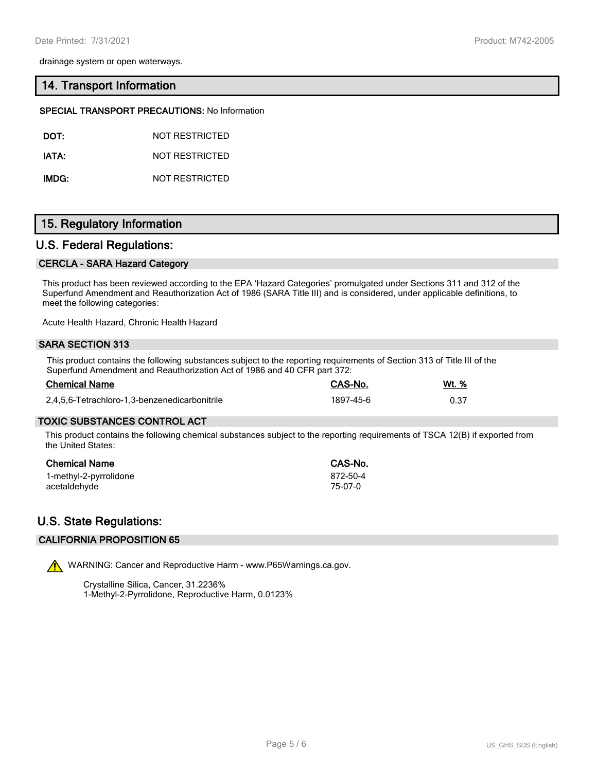drainage system or open waterways.

## **14. Transport Information**

#### **SPECIAL TRANSPORT PRECAUTIONS:** No Information

**IATA:** NOT RESTRICTED

**IMDG:** NOT RESTRICTED

# **15. Regulatory Information**

## **U.S. Federal Regulations:**

## **CERCLA - SARA Hazard Category**

This product has been reviewed according to the EPA 'Hazard Categories' promulgated under Sections 311 and 312 of the Superfund Amendment and Reauthorization Act of 1986 (SARA Title III) and is considered, under applicable definitions, to meet the following categories:

Acute Health Hazard, Chronic Health Hazard

#### **SARA SECTION 313**

This product contains the following substances subject to the reporting requirements of Section 313 of Title III of the Superfund Amendment and Reauthorization Act of 1986 and 40 CFR part 372:

| <b>Chemical Name</b>                          | CAS-No.   | Wt. % |
|-----------------------------------------------|-----------|-------|
| 2,4,5,6-Tetrachloro-1,3-benzenedicarbonitrile | 1897-45-6 | 0.37  |

## **TOXIC SUBSTANCES CONTROL ACT**

This product contains the following chemical substances subject to the reporting requirements of TSCA 12(B) if exported from the United States:

| Chemical Name          | CAS-No.  |
|------------------------|----------|
| 1-methyl-2-pyrrolidone | 872-50-4 |
| acetaldehyde           | 75-07-0  |

# **U.S. State Regulations:**

## **CALIFORNIA PROPOSITION 65**

WARNING: Cancer and Reproductive Harm - www.P65Warnings.ca.gov.

Crystalline Silica, Cancer, 31.2236% 1-Methyl-2-Pyrrolidone, Reproductive Harm, 0.0123%